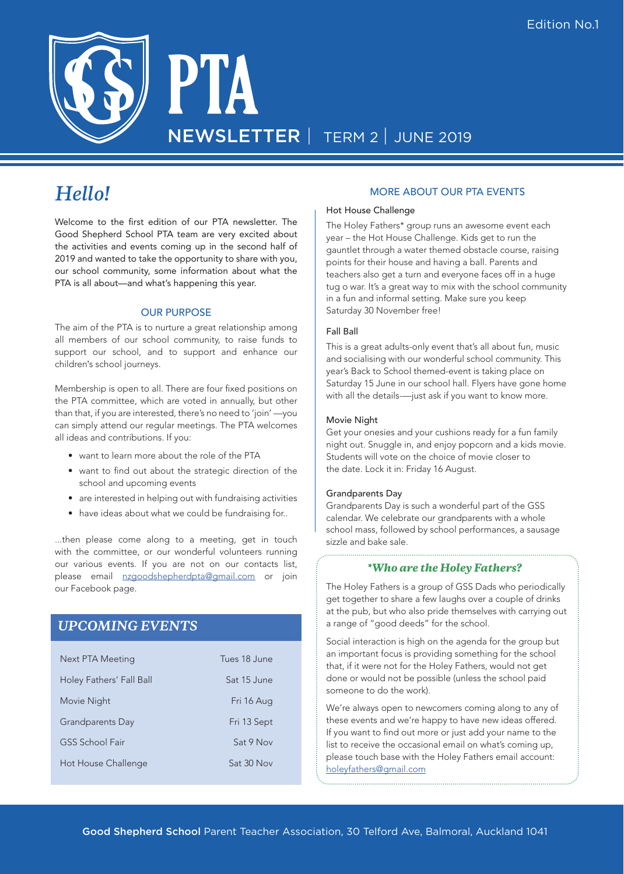

# *Hello!*

Welcome to the first edition of our PTA newsletter. The Good Shepherd School PTA team are very excited about the activities and events coming up in the second half of 2019 and wanted to take the opportunity to share with you, our school community, some information about what the PTA is all about—and what's happening this year.

#### OUR PURPOSE

The aim of the PTA is to nurture a great relationship among all members of our school community, to raise funds to support our school, and to support and enhance our children's school journeys.

Membership is open to all. There are four fixed positions on the PTA committee, which are voted in annually, but other than that, if you are interested, there's no need to 'join' —you can simply attend our regular meetings. The PTA welcomes all ideas and contributions. If you:

- want to learn more about the role of the PTA
- want to find out about the strategic direction of the school and upcoming events
- are interested in helping out with fundraising activities
- have ideas about what we could be fundraising for..

...then please come along to a meeting, get in touch with the committee, or our wonderful volunteers running our various events. If you are not on our contacts list, please email nzgoodshepherdpta@gmail.com or join our Facebook page.

## *UPCOMING EVENTS*

| Next PTA Meeting         | Tues 18 June |
|--------------------------|--------------|
| Holey Fathers' Fall Ball | Sat 15 June  |
| Movie Night              | Fri 16 Aug   |
| Grandparents Day         | Fri 13 Sept  |
| GSS School Fair          | Sat 9 Nov    |
| Hot House Challenge      | Sat 30 Nov   |

#### MORE ABOUT OUR PTA EVENTS

#### Hot House Challenge

The Holey Fathers\* group runs an awesome event each year – the Hot House Challenge. Kids get to run the gauntlet through a water themed obstacle course, raising points for their house and having a ball. Parents and teachers also get a turn and everyone faces off in a huge tug o war. It's a great way to mix with the school community in a fun and informal setting. Make sure you keep Saturday 30 November free!

#### Fall Ball

This is a great adults-only event that's all about fun, music and socialising with our wonderful school community. This year's Back to School themed-event is taking place on Saturday 15 June in our school hall. Flyers have gone home with all the details-—just ask if you want to know more.

#### Movie Night

Get your onesies and your cushions ready for a fun family night out. Snuggle in, and enjoy popcorn and a kids movie. Students will vote on the choice of movie closer to the date. Lock it in: Friday 16 August.

#### Grandparents Day

Grandparents Day is such a wonderful part of the GSS calendar. We celebrate our grandparents with a whole school mass, followed by school performances, a sausage sizzle and bake sale.

#### *\*Who are the Holey Fathers?*

The Holey Fathers is a group of GSS Dads who periodically get together to share a few laughs over a couple of drinks at the pub, but who also pride themselves with carrying out a range of "good deeds" for the school.

Social interaction is high on the agenda for the group but an important focus is providing something for the school that, if it were not for the Holey Fathers, would not get done or would not be possible (unless the school paid someone to do the work).

We're always open to newcomers coming along to any of these events and we're happy to have new ideas offered. If you want to find out more or just add your name to the list to receive the occasional email on what's coming up, please touch base with the Holey Fathers email account: holeyfathers@gmail.com